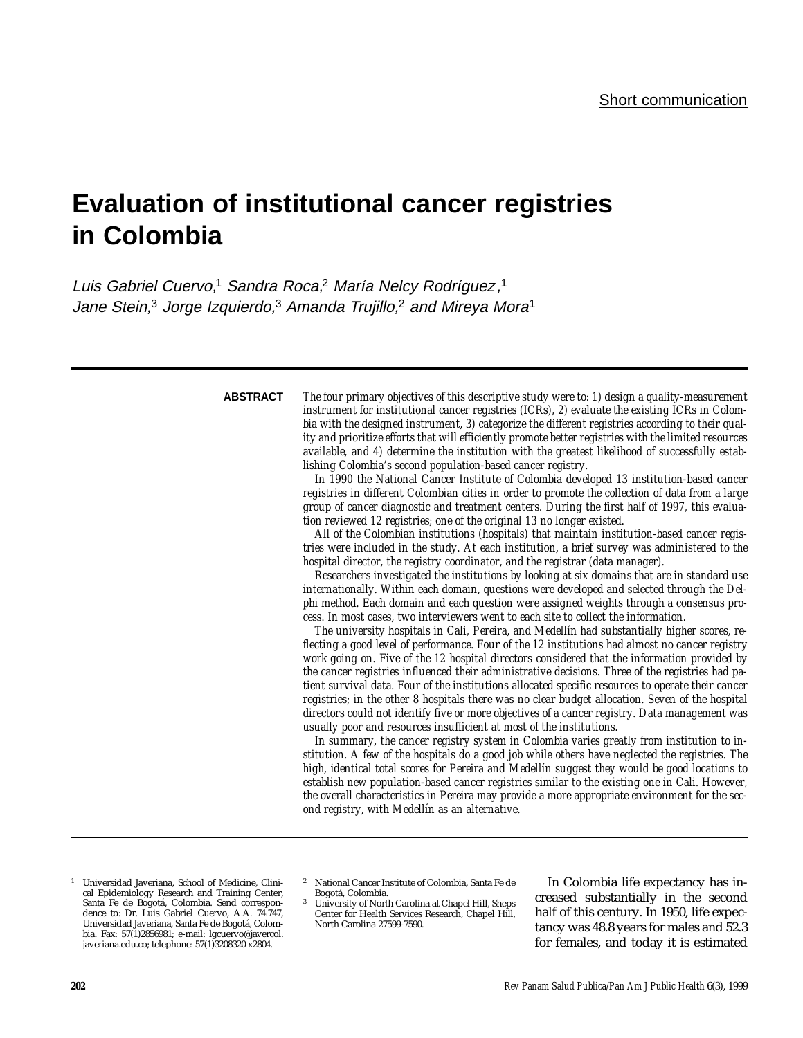# **Evaluation of institutional cancer registries in Colombia**

Luis Gabriel Cuervo,<sup>1</sup> Sandra Roca,<sup>2</sup> María Nelcy Rodríguez,<sup>1</sup> Jane Stein,<sup>3</sup> Jorge Izquierdo,<sup>3</sup> Amanda Trujillo,<sup>2</sup> and Mireya Mora<sup>1</sup>

#### **ABSTRACT**

*The four primary objectives of this descriptive study were to: 1) design a quality-measurement instrument for institutional cancer registries (ICRs), 2) evaluate the existing ICRs in Colombia with the designed instrument, 3) categorize the different registries according to their quality and prioritize efforts that will efficiently promote better registries with the limited resources available, and 4) determine the institution with the greatest likelihood of successfully establishing Colombia's second population-based cancer registry.*

*In 1990 the National Cancer Institute of Colombia developed 13 institution-based cancer registries in different Colombian cities in order to promote the collection of data from a large group of cancer diagnostic and treatment centers. During the first half of 1997, this evaluation reviewed 12 registries; one of the original 13 no longer existed.*

*All of the Colombian institutions (hospitals) that maintain institution-based cancer registries were included in the study. At each institution, a brief survey was administered to the hospital director, the registry coordinator, and the registrar (data manager).* 

*Researchers investigated the institutions by looking at six domains that are in standard use internationally. Within each domain, questions were developed and selected through the Delphi method. Each domain and each question were assigned weights through a consensus process. In most cases, two interviewers went to each site to collect the information.* 

*The university hospitals in Cali, Pereira, and Medellín had substantially higher scores, reflecting a good level of performance. Four of the 12 institutions had almost no cancer registry work going on. Five of the 12 hospital directors considered that the information provided by the cancer registries influenced their administrative decisions. Three of the registries had patient survival data. Four of the institutions allocated specific resources to operate their cancer registries; in the other 8 hospitals there was no clear budget allocation. Seven of the hospital directors could not identify five or more objectives of a cancer registry. Data management was usually poor and resources insufficient at most of the institutions.*

*In summary, the cancer registry system in Colombia varies greatly from institution to institution. A few of the hospitals do a good job while others have neglected the registries. The high, identical total scores for Pereira and Medellín suggest they would be good locations to establish new population-based cancer registries similar to the existing one in Cali. However, the overall characteristics in Pereira may provide a more appropriate environment for the second registry, with Medellín as an alternative.*

- <sup>1</sup> Universidad Javeriana, School of Medicine, Clinical Epidemiology Research and Training Center, Santa Fe de Bogotá, Colombia. Send correspondence to: Dr. Luis Gabriel Cuervo, A.A. 74.747, Universidad Javeriana, Santa Fe de Bogotá, Colombia. Fax: 57(1)2856981; e-mail: lgcuervo@javercol. javeriana.edu.co; telephone: 57(1)3208320 x2804.
- <sup>2</sup> National Cancer Institute of Colombia, Santa Fe de Bogotá, Colombia.
- <sup>3</sup> University of North Carolina at Chapel Hill, Sheps Center for Health Services Research, Chapel Hill, North Carolina 27599-7590.

In Colombia life expectancy has increased substantially in the second half of this century. In 1950, life expectancy was 48.8 years for males and 52.3 for females, and today it is estimated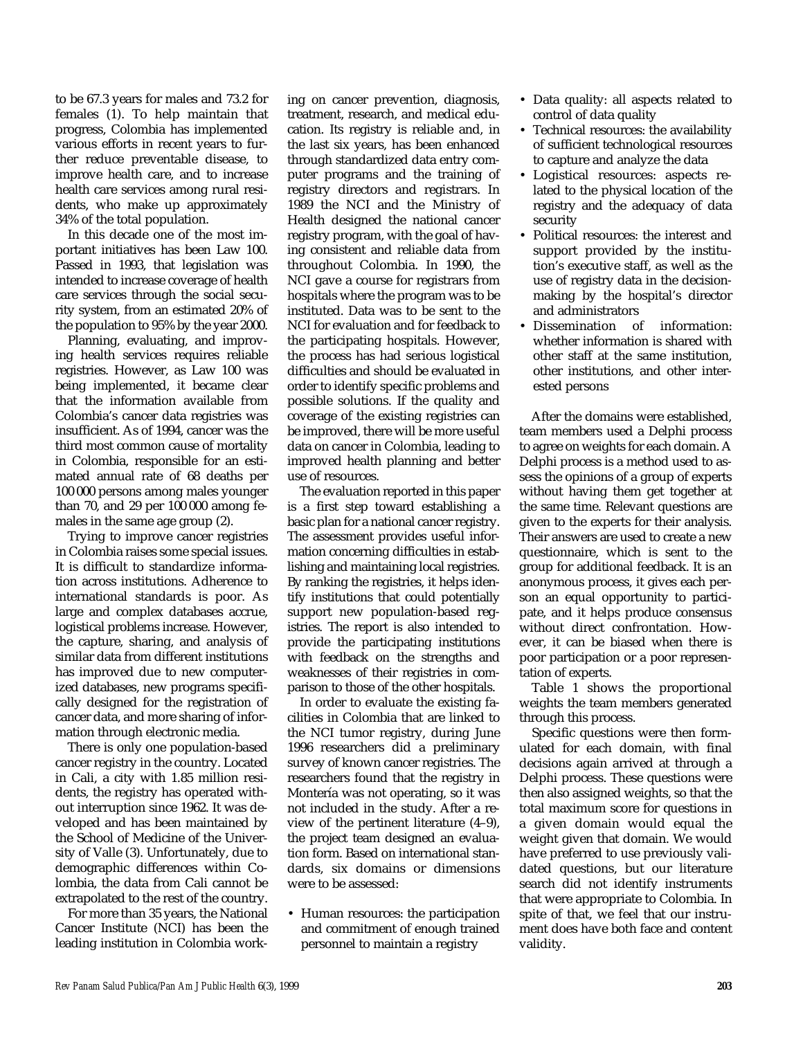to be 67.3 years for males and 73.2 for females (1). To help maintain that progress, Colombia has implemented various efforts in recent years to further reduce preventable disease, to improve health care, and to increase health care services among rural residents, who make up approximately 34% of the total population.

In this decade one of the most important initiatives has been Law 100. Passed in 1993, that legislation was intended to increase coverage of health care services through the social security system, from an estimated 20% of the population to 95% by the year 2000.

Planning, evaluating, and improving health services requires reliable registries. However, as Law 100 was being implemented, it became clear that the information available from Colombia's cancer data registries was insufficient. As of 1994, cancer was the third most common cause of mortality in Colombia, responsible for an estimated annual rate of 68 deaths per 100 000 persons among males younger than 70, and 29 per 100 000 among females in the same age group (2).

Trying to improve cancer registries in Colombia raises some special issues. It is difficult to standardize information across institutions. Adherence to international standards is poor. As large and complex databases accrue, logistical problems increase. However, the capture, sharing, and analysis of similar data from different institutions has improved due to new computerized databases, new programs specifically designed for the registration of cancer data, and more sharing of information through electronic media.

There is only one population-based cancer registry in the country. Located in Cali, a city with 1.85 million residents, the registry has operated without interruption since 1962. It was developed and has been maintained by the School of Medicine of the University of Valle (3). Unfortunately, due to demographic differences within Colombia, the data from Cali cannot be extrapolated to the rest of the country.

For more than 35 years, the National Cancer Institute (NCI) has been the leading institution in Colombia work-

ing on cancer prevention, diagnosis, treatment, research, and medical education. Its registry is reliable and, in the last six years, has been enhanced through standardized data entry computer programs and the training of registry directors and registrars. In 1989 the NCI and the Ministry of Health designed the national cancer registry program, with the goal of having consistent and reliable data from throughout Colombia. In 1990, the NCI gave a course for registrars from hospitals where the program was to be instituted. Data was to be sent to the NCI for evaluation and for feedback to the participating hospitals. However, the process has had serious logistical difficulties and should be evaluated in order to identify specific problems and possible solutions. If the quality and coverage of the existing registries can be improved, there will be more useful data on cancer in Colombia, leading to improved health planning and better use of resources.

The evaluation reported in this paper is a first step toward establishing a basic plan for a national cancer registry. The assessment provides useful information concerning difficulties in establishing and maintaining local registries. By ranking the registries, it helps identify institutions that could potentially support new population-based registries. The report is also intended to provide the participating institutions with feedback on the strengths and weaknesses of their registries in comparison to those of the other hospitals.

In order to evaluate the existing facilities in Colombia that are linked to the NCI tumor registry, during June 1996 researchers did a preliminary survey of known cancer registries. The researchers found that the registry in Montería was not operating, so it was not included in the study. After a review of the pertinent literature (4–9), the project team designed an evaluation form. Based on international standards, six domains or dimensions were to be assessed:

• Human resources: the participation and commitment of enough trained personnel to maintain a registry

- Data quality: all aspects related to control of data quality
- Technical resources: the availability of sufficient technological resources to capture and analyze the data
- Logistical resources: aspects related to the physical location of the registry and the adequacy of data security
- Political resources: the interest and support provided by the institution's executive staff, as well as the use of registry data in the decisionmaking by the hospital's director and administrators
- Dissemination of information: whether information is shared with other staff at the same institution, other institutions, and other interested persons

After the domains were established, team members used a Delphi process to agree on weights for each domain. A Delphi process is a method used to assess the opinions of a group of experts without having them get together at the same time. Relevant questions are given to the experts for their analysis. Their answers are used to create a new questionnaire, which is sent to the group for additional feedback. It is an anonymous process, it gives each person an equal opportunity to participate, and it helps produce consensus without direct confrontation. However, it can be biased when there is poor participation or a poor representation of experts.

Table 1 shows the proportional weights the team members generated through this process.

Specific questions were then formulated for each domain, with final decisions again arrived at through a Delphi process. These questions were then also assigned weights, so that the total maximum score for questions in a given domain would equal the weight given that domain. We would have preferred to use previously validated questions, but our literature search did not identify instruments that were appropriate to Colombia. In spite of that, we feel that our instrument does have both face and content validity.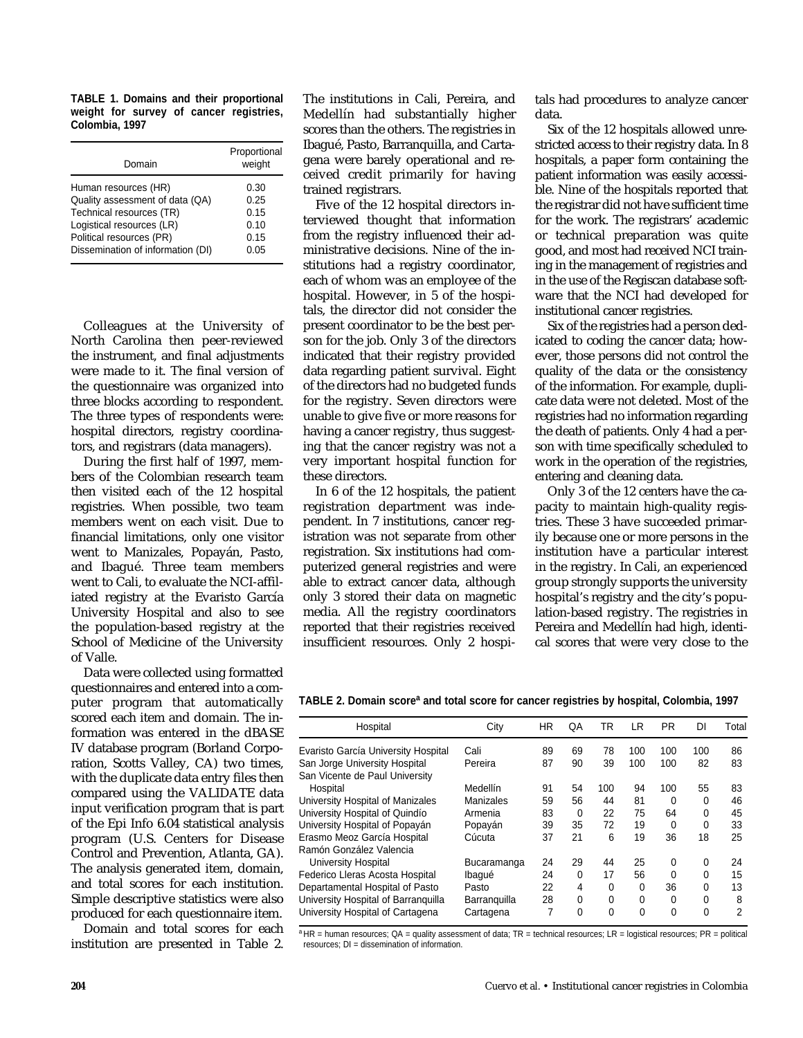**TABLE 1. Domains and their proportional weight for survey of cancer registries, Colombia, 1997** 

| Domain                            | Proportional<br>weight |  |  |  |
|-----------------------------------|------------------------|--|--|--|
| Human resources (HR)              | 0.30                   |  |  |  |
| Quality assessment of data (QA)   | 0.25                   |  |  |  |
| Technical resources (TR)          | 0.15                   |  |  |  |
| Logistical resources (LR)         | 0.10                   |  |  |  |
| Political resources (PR)          | 0.15                   |  |  |  |
| Dissemination of information (DI) | 0.05                   |  |  |  |

Colleagues at the University of North Carolina then peer-reviewed the instrument, and final adjustments were made to it. The final version of the questionnaire was organized into three blocks according to respondent. The three types of respondents were: hospital directors, registry coordinators, and registrars (data managers).

During the first half of 1997, members of the Colombian research team then visited each of the 12 hospital registries. When possible, two team members went on each visit. Due to financial limitations, only one visitor went to Manizales, Popayán, Pasto, and Ibagué. Three team members went to Cali, to evaluate the NCI-affiliated registry at the Evaristo García University Hospital and also to see the population-based registry at the School of Medicine of the University of Valle.

Data were collected using formatted questionnaires and entered into a computer program that automatically scored each item and domain. The information was entered in the dBASE IV database program (Borland Corporation, Scotts Valley, CA) two times, with the duplicate data entry files then compared using the VALIDATE data input verification program that is part of the Epi Info 6.04 statistical analysis program (U.S. Centers for Disease Control and Prevention, Atlanta, GA). The analysis generated item, domain, and total scores for each institution. Simple descriptive statistics were also produced for each questionnaire item.

Domain and total scores for each institution are presented in Table 2.

The institutions in Cali, Pereira, and Medellín had substantially higher scores than the others. The registries in Ibagué, Pasto, Barranquilla, and Cartagena were barely operational and received credit primarily for having trained registrars.

Five of the 12 hospital directors interviewed thought that information from the registry influenced their administrative decisions. Nine of the institutions had a registry coordinator, each of whom was an employee of the hospital. However, in 5 of the hospitals, the director did not consider the present coordinator to be the best person for the job. Only 3 of the directors indicated that their registry provided data regarding patient survival. Eight of the directors had no budgeted funds for the registry. Seven directors were unable to give five or more reasons for having a cancer registry, thus suggesting that the cancer registry was not a very important hospital function for these directors.

In 6 of the 12 hospitals, the patient registration department was independent. In 7 institutions, cancer registration was not separate from other registration. Six institutions had computerized general registries and were able to extract cancer data, although only 3 stored their data on magnetic media. All the registry coordinators reported that their registries received insufficient resources. Only 2 hospitals had procedures to analyze cancer data.

Six of the 12 hospitals allowed unrestricted access to their registry data. In 8 hospitals, a paper form containing the patient information was easily accessible. Nine of the hospitals reported that the registrar did not have sufficient time for the work. The registrars' academic or technical preparation was quite good, and most had received NCI training in the management of registries and in the use of the Regiscan database software that the NCI had developed for institutional cancer registries.

Six of the registries had a person dedicated to coding the cancer data; however, those persons did not control the quality of the data or the consistency of the information. For example, duplicate data were not deleted. Most of the registries had no information regarding the death of patients. Only 4 had a person with time specifically scheduled to work in the operation of the registries, entering and cleaning data.

Only 3 of the 12 centers have the capacity to maintain high-quality registries. These 3 have succeeded primarily because one or more persons in the institution have a particular interest in the registry. In Cali, an experienced group strongly supports the university hospital's registry and the city's population-based registry. The registries in Pereira and Medellín had high, identical scores that were very close to the

**TABLE 2. Domain scorea and total score for cancer registries by hospital, Colombia, 1997**

| Hospital                                                        | City         | <b>HR</b> | QA       | TR       | LR       | <b>PR</b> | DI       | Total |
|-----------------------------------------------------------------|--------------|-----------|----------|----------|----------|-----------|----------|-------|
| Evaristo García University Hospital                             | Cali         | 89        | 69       | 78       | 100      | 100       | 100      | 86    |
| San Jorge University Hospital<br>San Vicente de Paul University | Pereira      | 87        | 90       | 39       | 100      | 100       | 82       | 83    |
| Hospital                                                        | Medellín     | 91        | 54       | 100      | 94       | 100       | 55       | 83    |
| University Hospital of Manizales                                | Manizales    | 59        | 56       | 44       | 81       | $\Omega$  | 0        | 46    |
| University Hospital of Quindío                                  | Armenia      | 83        | $\Omega$ | 22       | 75       | 64        | 0        | 45    |
| University Hospital of Popayán                                  | Popayán      | 39        | 35       | 72       | 19       | 0         | 0        | 33    |
| Erasmo Meoz García Hospital                                     | Cúcuta       | 37        | 21       | 6        | 19       | 36        | 18       | 25    |
| Ramón González Valencia                                         |              |           |          |          |          |           |          |       |
| University Hospital                                             | Bucaramanga  | 24        | 29       | 44       | 25       | $\Omega$  | 0        | 24    |
| Federico Lleras Acosta Hospital                                 | Ibaqué       | 24        | $\Omega$ | 17       | 56       | $\Omega$  | 0        | 15    |
| Departamental Hospital of Pasto                                 | Pasto        | 22        | 4        | 0        | 0        | 36        | 0        | 13    |
| University Hospital of Barranguilla                             | Barranguilla | 28        | 0        | 0        | 0        | 0         | 0        | 8     |
| University Hospital of Cartagena                                | Cartagena    | 7         | $\Omega$ | $\Omega$ | $\Omega$ | $\Omega$  | $\Omega$ | 2     |

<sup>a</sup> HR = human resources; QA = quality assessment of data; TR = technical resources; LR = logistical resources; PR = political resources; DI = dissemination of information.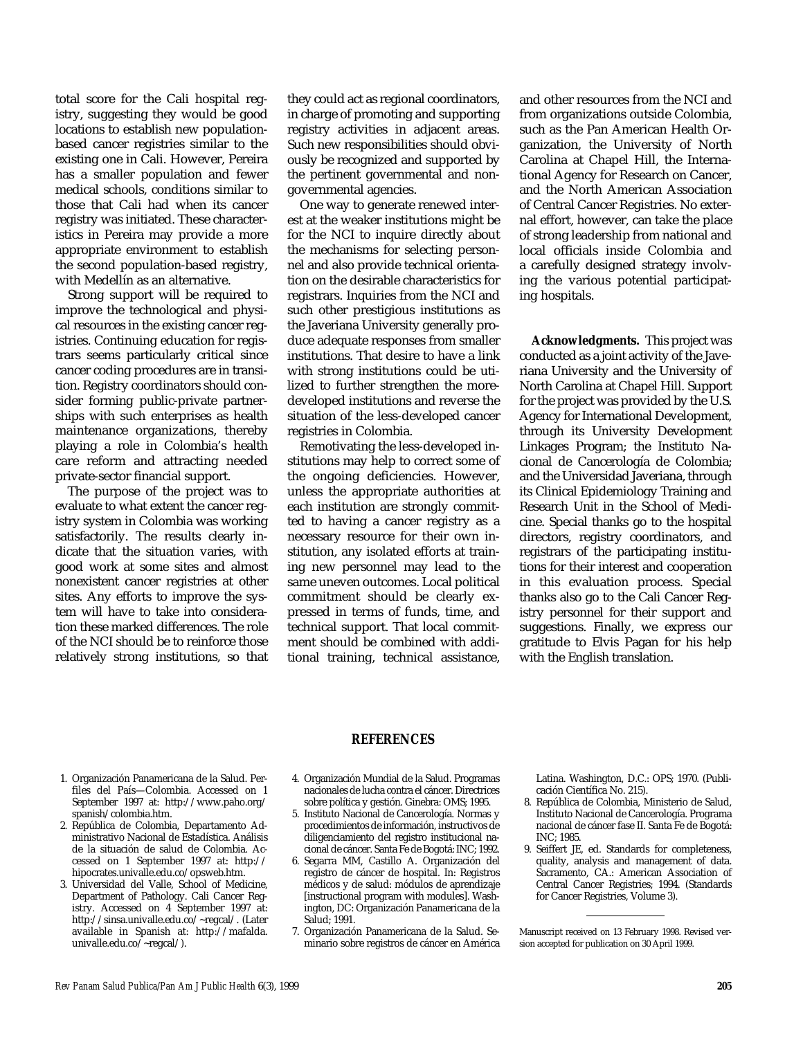total score for the Cali hospital registry, suggesting they would be good locations to establish new populationbased cancer registries similar to the existing one in Cali. However, Pereira has a smaller population and fewer medical schools, conditions similar to those that Cali had when its cancer registry was initiated. These characteristics in Pereira may provide a more appropriate environment to establish the second population-based registry, with Medellín as an alternative.

Strong support will be required to improve the technological and physical resources in the existing cancer registries. Continuing education for registrars seems particularly critical since cancer coding procedures are in transition. Registry coordinators should consider forming public-private partnerships with such enterprises as health maintenance organizations, thereby playing a role in Colombia's health care reform and attracting needed private-sector financial support.

The purpose of the project was to evaluate to what extent the cancer registry system in Colombia was working satisfactorily. The results clearly indicate that the situation varies, with good work at some sites and almost nonexistent cancer registries at other sites. Any efforts to improve the system will have to take into consideration these marked differences. The role of the NCI should be to reinforce those relatively strong institutions, so that

they could act as regional coordinators, in charge of promoting and supporting registry activities in adjacent areas. Such new responsibilities should obviously be recognized and supported by the pertinent governmental and nongovernmental agencies.

One way to generate renewed interest at the weaker institutions might be for the NCI to inquire directly about the mechanisms for selecting personnel and also provide technical orientation on the desirable characteristics for registrars. Inquiries from the NCI and such other prestigious institutions as the Javeriana University generally produce adequate responses from smaller institutions. That desire to have a link with strong institutions could be utilized to further strengthen the moredeveloped institutions and reverse the situation of the less-developed cancer registries in Colombia.

Remotivating the less-developed institutions may help to correct some of the ongoing deficiencies. However, unless the appropriate authorities at each institution are strongly committed to having a cancer registry as a necessary resource for their own institution, any isolated efforts at training new personnel may lead to the same uneven outcomes. Local political commitment should be clearly expressed in terms of funds, time, and technical support. That local commitment should be combined with additional training, technical assistance,

and other resources from the NCI and from organizations outside Colombia, such as the Pan American Health Organization, the University of North Carolina at Chapel Hill, the International Agency for Research on Cancer, and the North American Association of Central Cancer Registries. No external effort, however, can take the place of strong leadership from national and local officials inside Colombia and a carefully designed strategy involving the various potential participating hospitals.

**Acknowledgments.** This project was conducted as a joint activity of the Javeriana University and the University of North Carolina at Chapel Hill. Support for the project was provided by the U.S. Agency for International Development, through its University Development Linkages Program; the Instituto Nacional de Cancerología de Colombia; and the Universidad Javeriana, through its Clinical Epidemiology Training and Research Unit in the School of Medicine. Special thanks go to the hospital directors, registry coordinators, and registrars of the participating institutions for their interest and cooperation in this evaluation process. Special thanks also go to the Cali Cancer Registry personnel for their support and suggestions. Finally, we express our gratitude to Elvis Pagan for his help with the English translation.

- 1. Organización Panamericana de la Salud. Perfiles del País—Colombia. Accessed on 1 September 1997 at: http://www.paho.org/ spanish/colombia.htm.
- 2. República de Colombia, Departamento Administrativo Nacional de Estadística. Análisis de la situación de salud de Colombia. Accessed on 1 September 1997 at: http:// hipocrates.univalle.edu.co/opsweb.htm.
- 3. Universidad del Valle, School of Medicine, Department of Pathology. Cali Cancer Registry. Accessed on 4 September 1997 at: http://sinsa.univalle.edu.co/~regcal/. (Later available in Spanish at: http://mafalda. univalle.edu.co/~regcal/).

#### **REFERENCES**

- 4. Organización Mundial de la Salud. Programas nacionales de lucha contra el cáncer. Directrices sobre política y gestión. Ginebra: OMS; 1995.
- 5. Instituto Nacional de Cancerología. Normas y procedimientos de información, instructivos de diligenciamiento del registro institucional nacional de cáncer. Santa Fe de Bogotá: INC; 1992.
- 6. Segarra MM, Castillo A. Organización del registro de cáncer de hospital. In: Registros médicos y de salud: módulos de aprendizaje [instructional program with modules]. Washington, DC: Organización Panamericana de la Salud; 1991.
- 7. Organización Panamericana de la Salud. Seminario sobre registros de cáncer en América

Latina. Washington, D.C.: OPS; 1970. (Publicación Científica No. 215).

- 8. República de Colombia, Ministerio de Salud, Instituto Nacional de Cancerología. Programa nacional de cáncer fase II. Santa Fe de Bogotá: INC; 1985.
- 9. Seiffert JE, ed. Standards for completeness, quality, analysis and management of data. Sacramento, CA.: American Association of Central Cancer Registries; 1994. (Standards for Cancer Registries, Volume 3).

Manuscript received on 13 February 1998. Revised version accepted for publication on 30 April 1999.